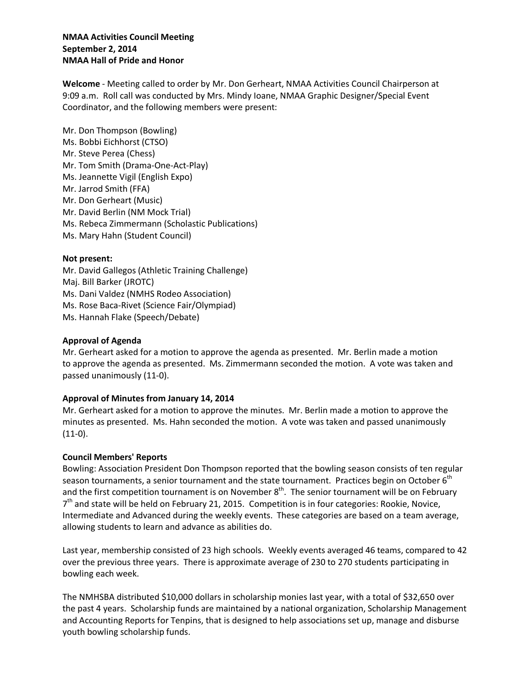# **NMAA Activities Council Meeting September 2, 2014 NMAA Hall of Pride and Honor**

**Welcome** - Meeting called to order by Mr. Don Gerheart, NMAA Activities Council Chairperson at 9:09 a.m. Roll call was conducted by Mrs. Mindy Ioane, NMAA Graphic Designer/Special Event Coordinator, and the following members were present:

Mr. Don Thompson (Bowling) Ms. Bobbi Eichhorst (CTSO) Mr. Steve Perea (Chess) Mr. Tom Smith (Drama-One-Act-Play) Ms. Jeannette Vigil (English Expo) Mr. Jarrod Smith (FFA) Mr. Don Gerheart (Music) Mr. David Berlin (NM Mock Trial) Ms. Rebeca Zimmermann (Scholastic Publications) Ms. Mary Hahn (Student Council)

## **Not present:**

Mr. David Gallegos (Athletic Training Challenge) Maj. Bill Barker (JROTC) Ms. Dani Valdez (NMHS Rodeo Association) Ms. Rose Baca-Rivet (Science Fair/Olympiad) Ms. Hannah Flake (Speech/Debate)

## **Approval of Agenda**

Mr. Gerheart asked for a motion to approve the agenda as presented. Mr. Berlin made a motion to approve the agenda as presented. Ms. Zimmermann seconded the motion. A vote was taken and passed unanimously (11-0).

## **Approval of Minutes from January 14, 2014**

Mr. Gerheart asked for a motion to approve the minutes. Mr. Berlin made a motion to approve the minutes as presented. Ms. Hahn seconded the motion. A vote was taken and passed unanimously (11-0).

### **Council Members' Reports**

Bowling: Association President Don Thompson reported that the bowling season consists of ten regular season tournaments, a senior tournament and the state tournament. Practices begin on October 6<sup>th</sup> and the first competition tournament is on November  $8<sup>th</sup>$ . The senior tournament will be on February  $7<sup>th</sup>$  and state will be held on February 21, 2015. Competition is in four categories: Rookie, Novice, Intermediate and Advanced during the weekly events. These categories are based on a team average, allowing students to learn and advance as abilities do.

Last year, membership consisted of 23 high schools. Weekly events averaged 46 teams, compared to 42 over the previous three years. There is approximate average of 230 to 270 students participating in bowling each week.

The NMHSBA distributed \$10,000 dollars in scholarship monies last year, with a total of \$32,650 over the past 4 years. Scholarship funds are maintained by a national organization, Scholarship Management and Accounting Reports for Tenpins, that is designed to help associations set up, manage and disburse youth bowling scholarship funds.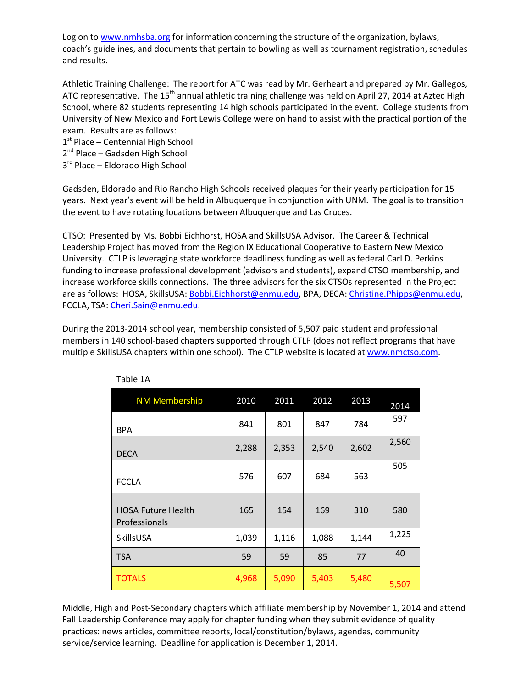Log on to www.nmhsba.org for information concerning the structure of the organization, bylaws, coach's guidelines, and documents that pertain to bowling as well as tournament registration, schedules and results.

Athletic Training Challenge: The report for ATC was read by Mr. Gerheart and prepared by Mr. Gallegos, ATC representative. The 15<sup>th</sup> annual athletic training challenge was held on April 27, 2014 at Aztec High School, where 82 students representing 14 high schools participated in the event. College students from University of New Mexico and Fort Lewis College were on hand to assist with the practical portion of the exam. Results are as follows:

 $1<sup>st</sup>$  Place – Centennial High School

2<sup>nd</sup> Place – Gadsden High School

3<sup>rd</sup> Place – Eldorado High School

Gadsden, Eldorado and Rio Rancho High Schools received plaques for their yearly participation for 15 years. Next year's event will be held in Albuquerque in conjunction with UNM. The goal is to transition the event to have rotating locations between Albuquerque and Las Cruces.

CTSO: Presented by Ms. Bobbi Eichhorst, HOSA and SkillsUSA Advisor. The Career & Technical Leadership Project has moved from the Region IX Educational Cooperative to Eastern New Mexico University. CTLP is leveraging state workforce deadliness funding as well as federal Carl D. Perkins funding to increase professional development (advisors and students), expand CTSO membership, and increase workforce skills connections. The three advisors for the six CTSOs represented in the Project are as follows: HOSA, SkillsUSA: Bobbi.Eichhorst@enmu.edu, BPA, DECA: Christine.Phipps@enmu.edu, FCCLA, TSA: Cheri.Sain@enmu.edu.

During the 2013-2014 school year, membership consisted of 5,507 paid student and professional members in 140 school-based chapters supported through CTLP (does not reflect programs that have multiple SkillsUSA chapters within one school). The CTLP website is located at www.nmctso.com.

| <b>NM Membership</b>                       | 2010  | 2011  | 2012  | 2013  | 2014  |
|--------------------------------------------|-------|-------|-------|-------|-------|
| <b>BPA</b>                                 | 841   | 801   | 847   | 784   | 597   |
| <b>DECA</b>                                | 2,288 | 2,353 | 2,540 | 2,602 | 2,560 |
| <b>FCCLA</b>                               | 576   | 607   | 684   | 563   | 505   |
| <b>HOSA Future Health</b><br>Professionals | 165   | 154   | 169   | 310   | 580   |
| SkillsUSA                                  | 1,039 | 1,116 | 1,088 | 1,144 | 1,225 |
| <b>TSA</b>                                 | 59    | 59    | 85    | 77    | 40    |
| <b>TOTALS</b>                              | 4,968 | 5,090 | 5,403 | 5,480 | 5,507 |

Table 1A

Middle, High and Post-Secondary chapters which affiliate membership by November 1, 2014 and attend Fall Leadership Conference may apply for chapter funding when they submit evidence of quality practices: news articles, committee reports, local/constitution/bylaws, agendas, community service/service learning. Deadline for application is December 1, 2014.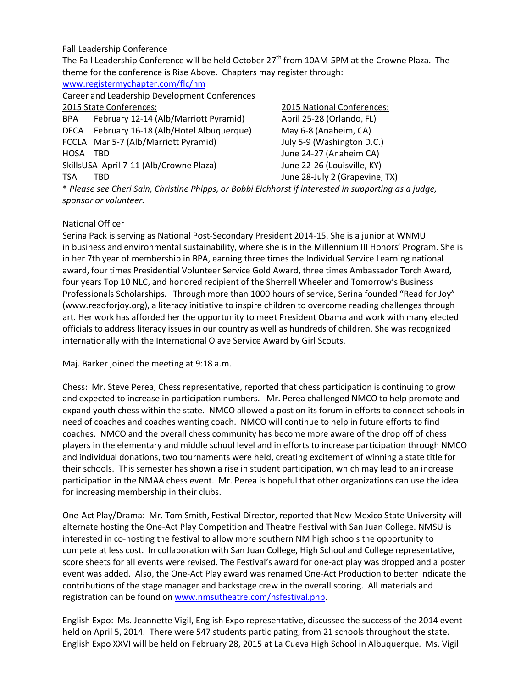## Fall Leadership Conference

The Fall Leadership Conference will be held October  $27<sup>th</sup>$  from 10AM-5PM at the Crowne Plaza. The theme for the conference is Rise Above. Chapters may register through:

```
www.registermychapter.com/flc/nm
```
Career and Leadership Development Conferences

|                                                                                                       | 2015 State Conferences:                     | 2015 National Conferences:     |  |  |
|-------------------------------------------------------------------------------------------------------|---------------------------------------------|--------------------------------|--|--|
|                                                                                                       | BPA February 12-14 (Alb/Marriott Pyramid)   | April 25-28 (Orlando, FL)      |  |  |
|                                                                                                       | DECA February 16-18 (Alb/Hotel Albuquerque) | May 6-8 (Anaheim, CA)          |  |  |
|                                                                                                       | FCCLA Mar 5-7 (Alb/Marriott Pyramid)        | July 5-9 (Washington D.C.)     |  |  |
| HOSA TBD                                                                                              |                                             | June 24-27 (Anaheim CA)        |  |  |
|                                                                                                       | SkillsUSA April 7-11 (Alb/Crowne Plaza)     | June 22-26 (Louisville, KY)    |  |  |
| TSA                                                                                                   | TRD.                                        | June 28-July 2 (Grapevine, TX) |  |  |
| * Please see Cheri Sain, Christine Phipps, or Bobbi Eichhorst if interested in supporting as a judge, |                                             |                                |  |  |
|                                                                                                       | sponsor or volunteer.                       |                                |  |  |

## National Officer

Serina Pack is serving as National Post-Secondary President 2014-15. She is a junior at WNMU in business and environmental sustainability, where she is in the Millennium III Honors' Program. She is in her 7th year of membership in BPA, earning three times the Individual Service Learning national award, four times Presidential Volunteer Service Gold Award, three times Ambassador Torch Award, four years Top 10 NLC, and honored recipient of the Sherrell Wheeler and Tomorrow's Business Professionals Scholarships. Through more than 1000 hours of service, Serina founded "Read for Joy" (www.readforjoy.org), a literacy initiative to inspire children to overcome reading challenges through art. Her work has afforded her the opportunity to meet President Obama and work with many elected officials to address literacy issues in our country as well as hundreds of children. She was recognized internationally with the International Olave Service Award by Girl Scouts.

Maj. Barker joined the meeting at 9:18 a.m.

Chess: Mr. Steve Perea, Chess representative, reported that chess participation is continuing to grow and expected to increase in participation numbers. Mr. Perea challenged NMCO to help promote and expand youth chess within the state. NMCO allowed a post on its forum in efforts to connect schools in need of coaches and coaches wanting coach. NMCO will continue to help in future efforts to find coaches. NMCO and the overall chess community has become more aware of the drop off of chess players in the elementary and middle school level and in efforts to increase participation through NMCO and individual donations, two tournaments were held, creating excitement of winning a state title for their schools. This semester has shown a rise in student participation, which may lead to an increase participation in the NMAA chess event. Mr. Perea is hopeful that other organizations can use the idea for increasing membership in their clubs.

One-Act Play/Drama: Mr. Tom Smith, Festival Director, reported that New Mexico State University will alternate hosting the One-Act Play Competition and Theatre Festival with San Juan College. NMSU is interested in co-hosting the festival to allow more southern NM high schools the opportunity to compete at less cost. In collaboration with San Juan College, High School and College representative, score sheets for all events were revised. The Festival's award for one-act play was dropped and a poster event was added. Also, the One-Act Play award was renamed One-Act Production to better indicate the contributions of the stage manager and backstage crew in the overall scoring. All materials and registration can be found on www.nmsutheatre.com/hsfestival.php.

English Expo: Ms. Jeannette Vigil, English Expo representative, discussed the success of the 2014 event held on April 5, 2014. There were 547 students participating, from 21 schools throughout the state. English Expo XXVI will be held on February 28, 2015 at La Cueva High School in Albuquerque. Ms. Vigil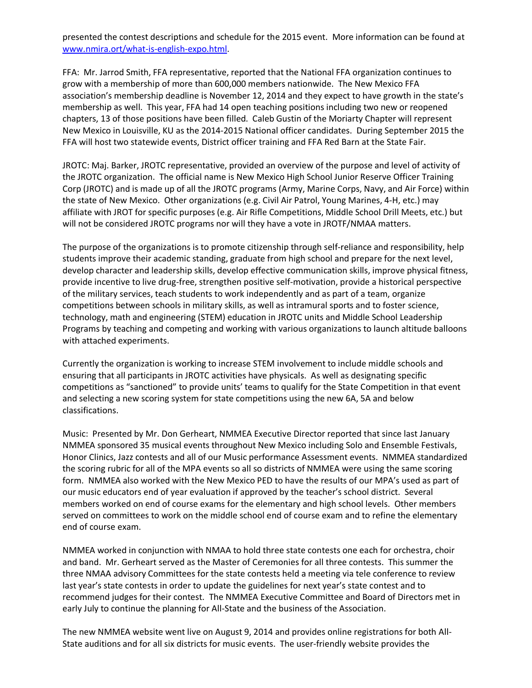presented the contest descriptions and schedule for the 2015 event. More information can be found at www.nmira.ort/what-is-english-expo.html.

FFA: Mr. Jarrod Smith, FFA representative, reported that the National FFA organization continues to grow with a membership of more than 600,000 members nationwide. The New Mexico FFA association's membership deadline is November 12, 2014 and they expect to have growth in the state's membership as well. This year, FFA had 14 open teaching positions including two new or reopened chapters, 13 of those positions have been filled. Caleb Gustin of the Moriarty Chapter will represent New Mexico in Louisville, KU as the 2014-2015 National officer candidates. During September 2015 the FFA will host two statewide events, District officer training and FFA Red Barn at the State Fair.

JROTC: Maj. Barker, JROTC representative, provided an overview of the purpose and level of activity of the JROTC organization. The official name is New Mexico High School Junior Reserve Officer Training Corp (JROTC) and is made up of all the JROTC programs (Army, Marine Corps, Navy, and Air Force) within the state of New Mexico. Other organizations (e.g. Civil Air Patrol, Young Marines, 4-H, etc.) may affiliate with JROT for specific purposes (e.g. Air Rifle Competitions, Middle School Drill Meets, etc.) but will not be considered JROTC programs nor will they have a vote in JROTF/NMAA matters.

The purpose of the organizations is to promote citizenship through self-reliance and responsibility, help students improve their academic standing, graduate from high school and prepare for the next level, develop character and leadership skills, develop effective communication skills, improve physical fitness, provide incentive to live drug-free, strengthen positive self-motivation, provide a historical perspective of the military services, teach students to work independently and as part of a team, organize competitions between schools in military skills, as well as intramural sports and to foster science, technology, math and engineering (STEM) education in JROTC units and Middle School Leadership Programs by teaching and competing and working with various organizations to launch altitude balloons with attached experiments.

Currently the organization is working to increase STEM involvement to include middle schools and ensuring that all participants in JROTC activities have physicals. As well as designating specific competitions as "sanctioned" to provide units' teams to qualify for the State Competition in that event and selecting a new scoring system for state competitions using the new 6A, 5A and below classifications.

Music: Presented by Mr. Don Gerheart, NMMEA Executive Director reported that since last January NMMEA sponsored 35 musical events throughout New Mexico including Solo and Ensemble Festivals, Honor Clinics, Jazz contests and all of our Music performance Assessment events. NMMEA standardized the scoring rubric for all of the MPA events so all so districts of NMMEA were using the same scoring form. NMMEA also worked with the New Mexico PED to have the results of our MPA's used as part of our music educators end of year evaluation if approved by the teacher's school district. Several members worked on end of course exams for the elementary and high school levels. Other members served on committees to work on the middle school end of course exam and to refine the elementary end of course exam.

NMMEA worked in conjunction with NMAA to hold three state contests one each for orchestra, choir and band. Mr. Gerheart served as the Master of Ceremonies for all three contests. This summer the three NMAA advisory Committees for the state contests held a meeting via tele conference to review last year's state contests in order to update the guidelines for next year's state contest and to recommend judges for their contest. The NMMEA Executive Committee and Board of Directors met in early July to continue the planning for All-State and the business of the Association.

The new NMMEA website went live on August 9, 2014 and provides online registrations for both All-State auditions and for all six districts for music events. The user-friendly website provides the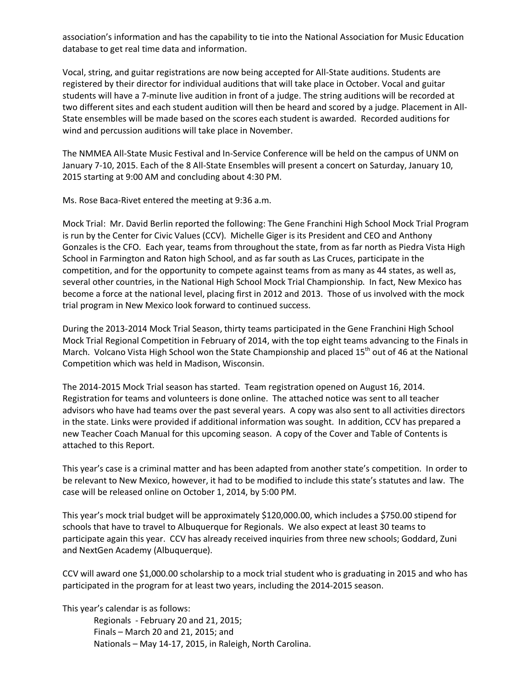association's information and has the capability to tie into the National Association for Music Education database to get real time data and information.

Vocal, string, and guitar registrations are now being accepted for All-State auditions. Students are registered by their director for individual auditions that will take place in October. Vocal and guitar students will have a 7-minute live audition in front of a judge. The string auditions will be recorded at two different sites and each student audition will then be heard and scored by a judge. Placement in All-State ensembles will be made based on the scores each student is awarded. Recorded auditions for wind and percussion auditions will take place in November.

The NMMEA All-State Music Festival and In-Service Conference will be held on the campus of UNM on January 7-10, 2015. Each of the 8 All-State Ensembles will present a concert on Saturday, January 10, 2015 starting at 9:00 AM and concluding about 4:30 PM.

Ms. Rose Baca-Rivet entered the meeting at 9:36 a.m.

Mock Trial: Mr. David Berlin reported the following: The Gene Franchini High School Mock Trial Program is run by the Center for Civic Values (CCV). Michelle Giger is its President and CEO and Anthony Gonzales is the CFO. Each year, teams from throughout the state, from as far north as Piedra Vista High School in Farmington and Raton high School, and as far south as Las Cruces, participate in the competition, and for the opportunity to compete against teams from as many as 44 states, as well as, several other countries, in the National High School Mock Trial Championship. In fact, New Mexico has become a force at the national level, placing first in 2012 and 2013. Those of us involved with the mock trial program in New Mexico look forward to continued success.

During the 2013-2014 Mock Trial Season, thirty teams participated in the Gene Franchini High School Mock Trial Regional Competition in February of 2014, with the top eight teams advancing to the Finals in March. Volcano Vista High School won the State Championship and placed 15<sup>th</sup> out of 46 at the National Competition which was held in Madison, Wisconsin.

The 2014-2015 Mock Trial season has started. Team registration opened on August 16, 2014. Registration for teams and volunteers is done online. The attached notice was sent to all teacher advisors who have had teams over the past several years. A copy was also sent to all activities directors in the state. Links were provided if additional information was sought. In addition, CCV has prepared a new Teacher Coach Manual for this upcoming season. A copy of the Cover and Table of Contents is attached to this Report.

This year's case is a criminal matter and has been adapted from another state's competition. In order to be relevant to New Mexico, however, it had to be modified to include this state's statutes and law. The case will be released online on October 1, 2014, by 5:00 PM.

This year's mock trial budget will be approximately \$120,000.00, which includes a \$750.00 stipend for schools that have to travel to Albuquerque for Regionals. We also expect at least 30 teams to participate again this year. CCV has already received inquiries from three new schools; Goddard, Zuni and NextGen Academy (Albuquerque).

CCV will award one \$1,000.00 scholarship to a mock trial student who is graduating in 2015 and who has participated in the program for at least two years, including the 2014-2015 season.

This year's calendar is as follows:

Regionals - February 20 and 21, 2015; Finals – March 20 and 21, 2015; and Nationals – May 14-17, 2015, in Raleigh, North Carolina.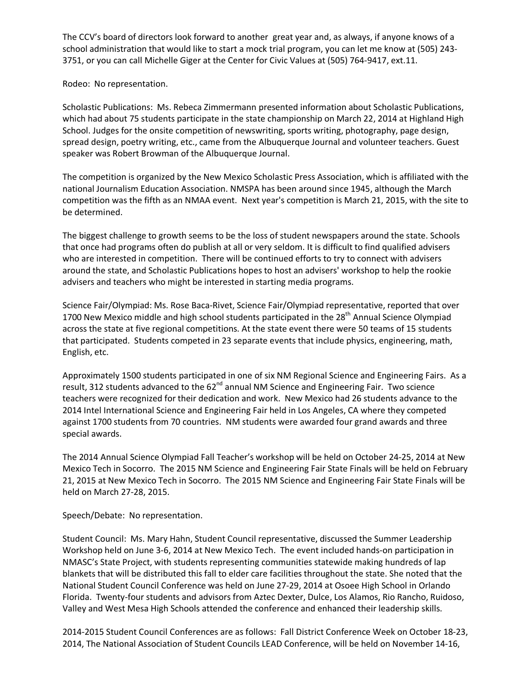The CCV's board of directors look forward to another great year and, as always, if anyone knows of a school administration that would like to start a mock trial program, you can let me know at (505) 243- 3751, or you can call Michelle Giger at the Center for Civic Values at (505) 764-9417, ext.11.

Rodeo: No representation.

Scholastic Publications: Ms. Rebeca Zimmermann presented information about Scholastic Publications, which had about 75 students participate in the state championship on March 22, 2014 at Highland High School. Judges for the onsite competition of newswriting, sports writing, photography, page design, spread design, poetry writing, etc., came from the Albuquerque Journal and volunteer teachers. Guest speaker was Robert Browman of the Albuquerque Journal.

The competition is organized by the New Mexico Scholastic Press Association, which is affiliated with the national Journalism Education Association. NMSPA has been around since 1945, although the March competition was the fifth as an NMAA event. Next year's competition is March 21, 2015, with the site to be determined.

The biggest challenge to growth seems to be the loss of student newspapers around the state. Schools that once had programs often do publish at all or very seldom. It is difficult to find qualified advisers who are interested in competition. There will be continued efforts to try to connect with advisers around the state, and Scholastic Publications hopes to host an advisers' workshop to help the rookie advisers and teachers who might be interested in starting media programs.

Science Fair/Olympiad: Ms. Rose Baca-Rivet, Science Fair/Olympiad representative, reported that over 1700 New Mexico middle and high school students participated in the 28<sup>th</sup> Annual Science Olympiad across the state at five regional competitions. At the state event there were 50 teams of 15 students that participated. Students competed in 23 separate events that include physics, engineering, math, English, etc.

Approximately 1500 students participated in one of six NM Regional Science and Engineering Fairs. As a result, 312 students advanced to the 62<sup>nd</sup> annual NM Science and Engineering Fair. Two science teachers were recognized for their dedication and work. New Mexico had 26 students advance to the 2014 Intel International Science and Engineering Fair held in Los Angeles, CA where they competed against 1700 students from 70 countries. NM students were awarded four grand awards and three special awards.

The 2014 Annual Science Olympiad Fall Teacher's workshop will be held on October 24-25, 2014 at New Mexico Tech in Socorro. The 2015 NM Science and Engineering Fair State Finals will be held on February 21, 2015 at New Mexico Tech in Socorro. The 2015 NM Science and Engineering Fair State Finals will be held on March 27-28, 2015.

Speech/Debate: No representation.

Student Council: Ms. Mary Hahn, Student Council representative, discussed the Summer Leadership Workshop held on June 3-6, 2014 at New Mexico Tech. The event included hands-on participation in NMASC's State Project, with students representing communities statewide making hundreds of lap blankets that will be distributed this fall to elder care facilities throughout the state. She noted that the National Student Council Conference was held on June 27-29, 2014 at Osoee High School in Orlando Florida. Twenty-four students and advisors from Aztec Dexter, Dulce, Los Alamos, Rio Rancho, Ruidoso, Valley and West Mesa High Schools attended the conference and enhanced their leadership skills.

2014-2015 Student Council Conferences are as follows: Fall District Conference Week on October 18-23, 2014, The National Association of Student Councils LEAD Conference, will be held on November 14-16,